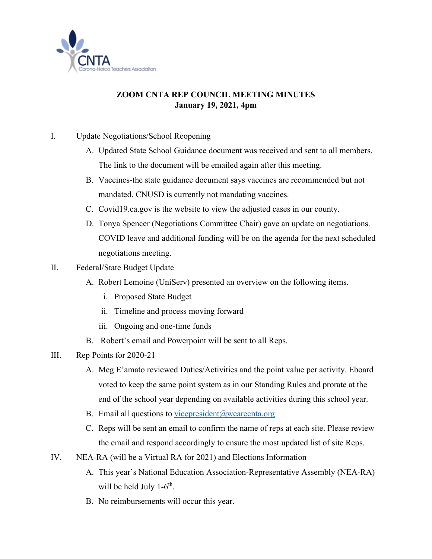

## **ZOOM CNTA REP COUNCIL MEETING MINUTES January 19, 2021, 4pm**

- I. Update Negotiations/School Reopening
	- A. Updated State School Guidance document was received and sent to all members. The link to the document will be emailed again after this meeting.
	- B. Vaccines-the state guidance document says vaccines are recommended but not mandated. CNUSD is currently not mandating vaccines.
	- C. Covid19.ca.gov is the website to view the adjusted cases in our county.
	- D. Tonya Spencer (Negotiations Committee Chair) gave an update on negotiations. COVID leave and additional funding will be on the agenda for the next scheduled negotiations meeting.
- II. Federal/State Budget Update
	- A. Robert Lemoine (UniServ) presented an overview on the following items.
		- i. Proposed State Budget
		- ii. Timeline and process moving forward
		- iii. Ongoing and one-time funds
	- B. Robert's email and Powerpoint will be sent to all Reps.
- III. Rep Points for 2020-21
	- A. Meg E'amato reviewed Duties/Activities and the point value per activity. Eboard voted to keep the same point system as in our Standing Rules and prorate at the end of the school year depending on available activities during this school year.
	- B. Email all questions to vicepresident  $@$  wearecnta.org
	- C. Reps will be sent an email to confirm the name of reps at each site. Please review the email and respond accordingly to ensure the most updated list of site Reps.
- IV. NEA-RA (will be a Virtual RA for 2021) and Elections Information
	- A. This year's National Education Association-Representative Assembly (NEA-RA) will be held July  $1-6^{th}$ .
	- B. No reimbursements will occur this year.